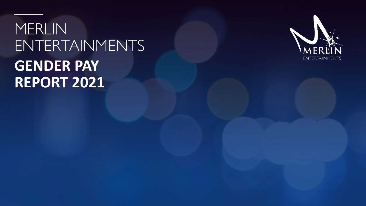# MERLIN ENTERTAINMENTS **GENDER PAY REPORT 2021**

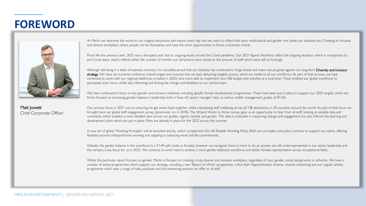### **FOREWORD**



Matt Jowett Chief Corporate Officer At Merlin we welcome the world to our magical attractions and resorts every day and we want to reflect that same multicultural and gender mix inside our business too. Creating an inclusive and diverse workplace, where people can be themselves and have the same opportunities to thrive, is business critical.

Much like the previous year, 2021 was a disrupted year due to ongoing issues around the Covid pandemic. Our 2021 figures therefore reflect the ongoing situation, which in comparison to pre-Covid years, clearly reflects either the number of months our attractions were closed or the amount of staff which were still on furlough.

Although still being in a state of business recovery, I'm incredibly proud that our business has continued to forge ahead and make real progress against our long-term Diversity and Inclusion strategy. We have set ourselves ambitious overall targets and ensured that we kept delivering tangible actions, which are visible to all our workforce. As part of that process, we have continued to work with our regional taskforces (created in 2020) who were able to implement new D&I targets and activities at a local level. These enabled our global workforce to participate even more, whilst also informing and driving the change and feedback to our central team.

We have continued to focus on key gender and inclusion initiatives, including specific female development programmes. These have been put in place to support our 2025 targets, which are firmly focused on increasing gender balance in leadership both in Exec-A2 senior manager roles, as well as middle management grades of B1-B3.

Our primary focus in 2021 was on ensuring we get teams back together whilst maintaining staff wellbeing across all 138 attractions, in 24 countries around the world. As part of that focus we brought back our global staff engagement survey (previously run in 2018). The Wizard Wants to Know survey gave us an opportunity to hear from all staff, looking at valuable data and comments which enabled a more detailed view across our grades, regions, brands and gender. This data is invaluable in measuring change and engagement but also informs the learning and development plans which are put in place. Plans are already in place for the 2022 survey this summer.

A new set of global 'Working Principles' will be launched shortly, which complement the UK Flexible Working Policy. Both our principles and policy continue to support our teams, offering flexibility around childcare/home working and adapting to balancing work and life commitments.

Globally, the gender balance in the workforce is a 51:49 split (male vs female), however we recognise there is more to do as women are still underrepresented in our senior leadership and this remains a key focus for us in 2022. We continue to work hard to achieve a more gender-balanced workforce and better female representation across occupational fields.

Whilst this particular report focuses on gender, Merlin is focused on creating a truly diverse and inclusive workplace, regardless of race, gender, social background, or ethnicity. We have a number of active programmes which support our strategy, including a new 'Return to Work' programme, a Kick-Start Apprenticeship scheme, reverse mentoring and our regular activity programme which sees a range of talks, podcasts and live mentoring sessions on offer to all staff.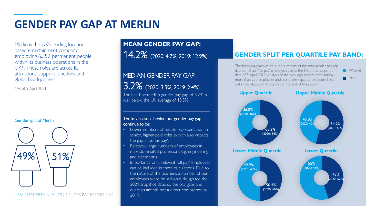## **GENDER PAY GAP AT MERLIN**

Merlin is the UK's leading locationbased entertainment company employing 6,352 permanent people within its business operations in the UK\*. These roles are across its attractions, support functions and global headquarters.

\*As of 5 April 2021

#### Gender split at Merlin



MERLIN ENTERTAINMENTS | GENDER PAY REPORT 2021 | 2019, 2009 | 2019 | 2019 | 2019 | 2019 | 2019 | 2019 | 2019 |

**MEAN GENDER PAY GAP:** 14.2% (2020: 4.7%, 2019: 12.9%)

### MEDIAN GENDER PAY GAP: 3.2% (2020: 3.5%, 2019: 2.4%)

The headline median gender pay gap of 3.2% is well below the UK average of 15.5%

#### The key reasons behind our gender pay gap continue to be:

- Lower numbers of female representation in senior, higher-paid roles (which also impacts the gap in bonus pay).
- Relatively large numbers of employees in male-dominated professions e.g. engineering and electricians.
- Importantly only 'relevant full pay' employees can be included in these calculations. Due to the nature of the business, a number of our employees were on still on furlough for the 2021 snapshot date, so the pay gaps and quartiles are still not a direct comparison to 2019.

#### **GENDER SPLIT PER QUARTILE PAY BAND:**

The following graphics set out a summary of the total gender pay gap data for all our 'full pay' employees across the UK at the snapshot date of 5 April 2021. Analysis of the two legal entities that employ more than 250 employees and so require separate disclosure is set out in the statutory disclosures at the end of this report.





50.1% (2020: 60%) 45%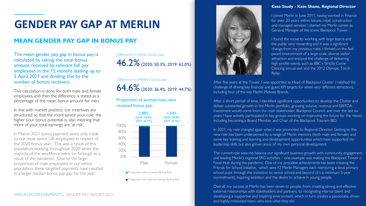### **GENDER PAY GAP AT MERLIN**

#### **MEAN GENDER PAY GAP IN BONUS PAY**

The mean gender pay gap in bonus pay is calculated by taking the total bonus amount received by relevant full pay employees in the 12 months leading up to 5 April 2021 and dividing this by the number of bonus receivers.

This calculation is done for both male and female employees and then the difference is stated as a percentage of the mean bonus amount for men.

In line with market practice, our incentives are structured so that the more senior your role, the higher your bonus potential is, also meaning that more of your total earnings are 'at risk'.

In March 2021 bonus payment were only made to our most senior UK employees in respect of the 2020 bonus year. This was a result of this population working throughout 2020 whilst the majority of the workforce were on furlough as a result of the pandemic. Due to the large proportion of male employees in our senior population, these targeted payments have resulted in a larger median bonus pay gap for the year.

Difference in Mean bonus pay: 46.2%(2020: 50.3%, 2019: 62.0%)

Difference in Median bonus pay: 64.6%(2020: 36.4%, 2019: 44.7%)

Proportion of women/men who received bonus pay:

|                                        | 2.88%<br>(2020: 42.8%,<br>2019: 36.7%) | 1.54%<br>(2020: 40.8%,<br>2019: 35.9%) |  |  |  |  |  |
|----------------------------------------|----------------------------------------|----------------------------------------|--|--|--|--|--|
| 100%<br>80%<br>60%<br>40%<br>20%<br>0% |                                        |                                        |  |  |  |  |  |
|                                        | Male                                   | Female                                 |  |  |  |  |  |
| Proportion who received Bonus Pay      |                                        |                                        |  |  |  |  |  |

Proportion who did not receive Bonus Pay

#### **Case Study - Kate Shane, Regional Director**

I joined Merlin in June 2011, having worked in Finance for over 20 years within leisure, retail, construction and managed services. I started my Merlin career as General Manager of the iconic Blackpool Tower.

I found the move to working with large teams and the public very rewarding and it was a significant change from my previous roles. I thrived on the fastpaced environment of a large-scale, diverse visitor attraction and enjoyed the challenge of delivering high-profile events such as BBC's Strictly Come Dancing annual visit and the 2012 Olympic Torch Relay.

After five years at the Tower, I was appointed as Head of Blackpool Cluster. I relished the challenge of driving key financial and guest KPI targets for seven very different attractions, including four of the key Merlin Midway Brands.

After a short period of time, I identified significant opportunities to develop the Cluster and deliver substantial growth in the Merlin portfolio, growing volume, revenue and EBITDA. Investment would come from the main stakeholder, Blackpool Council, and over the last six years I have actively participated in key groups working on improving the future for the resort, including becoming a Board Member and Chair of the Blackpool Tourism BID.

In 2021, my role changed again when I was promoted to Regional Director. Getting to this new role has been underpinned by a range of Merlin mentors (both male and female) and some key training and learning and development opportunities which have supported my leadership skills but also grown areas of my own personal development.

The current role sees me balance our significant business growth with community engagement and leading Merlin's regional SRG activities – one example was making the Blackpool Tower a Food Hub during the pandemic. One of my proudest achievements has been creating the Friends for School initiative, which sees 12 Merlin Managers each mentoring a local primary school pupil through the transition to senior school and beyond (it's a minimum 5-year commitment), inspiring ambition and the desire to achieve in young people.

Overall, my success at Merlin has been down to people, from creating strong and effective external relationships with stakeholders and partners, to recognizing internal talent and developing a supportive and inspiring environment, which in turn creates a passionate, driven and highly-motivated team, who love what they do!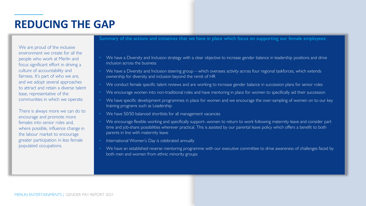### **REDUCING THE GAP**

We are proud of the inclusive environment we create for all the people who work at Merlin and focus significant effort in driving a culture of accountability and fairness. It's part of who we are, and we adopt several approaches to attract and retain a diverse talent base, representative of the communities in which we operate.

There is always more we can do to encourage and promote more females into senior roles and, where possible, influence change in the labour market to encourage greater participation in less female populated occupations.

Summary of the actions and initiatives that we have in place which focus on supporting our female employees:

- We have a Diversity and Inclusion strategy with a clear objective to increase gender balance in leadership positions and drive inclusion across the business
- We have a Diversity and Inclusion steering group which oversees activity across four regional taskforces, which extends ownership for diversity and inclusion beyond the remit of HR
- We conduct female specific talent reviews and are working to increase gender balance in succession plans for senior roles
- We encourage women into non-traditional roles and have mentoring in place for women to specifically aid their succession
- We have specific development programmes in place for women and we encourage the over-sampling of women on to our key training programs such as Leadership
- We have 50/50 balanced shortlists for all management vacancies
- We encourage flexible working and specifically support- women to return to work following maternity leave and consider part time and job-share possibilities wherever practical. This is assisted by our parental leave policy which offers a benefit to both parents in line with maternity leave
- International Women's Day is celebrated annually
- We have an established reverse mentoring programme with our executive committee to drive awareness of challenges faced by both men and women from ethnic minority groups